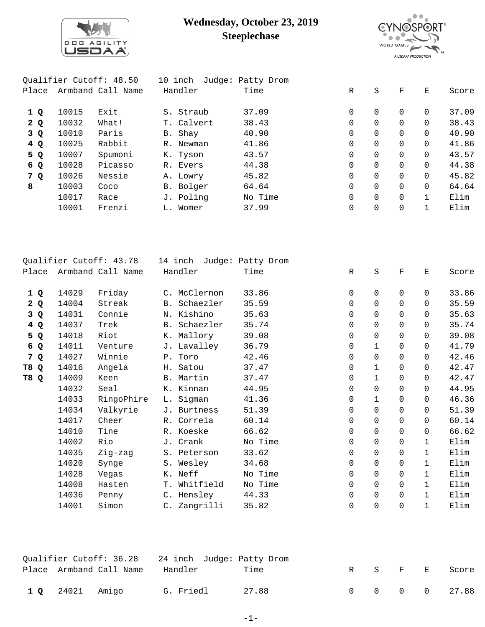

## **Wednesday, October 23, 2019 Steeplechase**



|       |       | Qualifier Cutoff: 48.50 | 10 inch    | Judge: Patty Drom |              |          |          |          |       |
|-------|-------|-------------------------|------------|-------------------|--------------|----------|----------|----------|-------|
| Place |       | Armband Call Name       | Handler    | Time              | $\mathbb{R}$ | S        | F        | Е        | Score |
| 1Q    | 10015 | Exit                    | S. Straub  | 37.09             | 0            | $\Omega$ | 0        | $\Omega$ | 37.09 |
| 2 Q   | 10032 | What!                   | T. Calvert | 38.43             | $\Omega$     | $\Omega$ |          | $\Omega$ | 38.43 |
| 3 Q   | 10010 | Paris                   | B. Shay    | 40.90             | $\Omega$     | $\Omega$ | 0        | 0        | 40.90 |
| 4Q    | 10025 | Rabbit                  | R. Newman  | 41.86             | $\Omega$     | $\Omega$ |          | $\Omega$ | 41.86 |
| 5 Q   | 10007 | Spumoni                 | K. Tyson   | 43.57             | $\Omega$     | $\Omega$ | $\Omega$ | $\Omega$ | 43.57 |
| 6 Q   | 10028 | Picasso                 | R. Evers   | 44.38             | $\Omega$     | $\Omega$ |          | $\Omega$ | 44.38 |
| 7 Q   | 10026 | Nessie                  | A. Lowry   | 45.82             | $\Omega$     | $\Omega$ |          | $\Omega$ | 45.82 |
| 8     | 10003 | Coco                    | B. Bolger  | 64.64             | $\Omega$     | $\Omega$ |          | $\Omega$ | 64.64 |
|       | 10017 | Race                    | J. Poling  | No Time           | 0            | $\Omega$ |          |          | Elim  |
|       | 10001 | Frenzi                  | L. Womer   | 37.99             | 0            | 0        |          |          | Elim  |
|       |       |                         |            |                   |              |          |          |          |       |

|                    |       | Qualifier Cutoff: 43.78 | 14 inch      | Judge: Patty Drom |             |             |             |              |       |
|--------------------|-------|-------------------------|--------------|-------------------|-------------|-------------|-------------|--------------|-------|
| Place              |       | Armband Call Name       | Handler      | Time              | $\mathbb R$ | S           | $\mathbf F$ | $\mathbf E$  | Score |
| 1Q                 | 14029 | Friday                  | C. McClernon | 33.86             | 0           | $\Omega$    | $\Omega$    | $\Omega$     | 33.86 |
| 2Q                 | 14004 | Streak                  | B. Schaezler | 35.59             | $\mathbf 0$ | $\Omega$    | $\Omega$    | 0            | 35.59 |
| 3 Q                | 14031 | Connie                  | N. Kishino   | 35.63             | $\mathbf 0$ | $\Omega$    | $\Omega$    | $\Omega$     | 35.63 |
| 4 Q                | 14037 | Trek                    | B. Schaezler | 35.74             | $\Omega$    | $\Omega$    | $\Omega$    | $\Omega$     | 35.74 |
| 5 Q                | 14018 | Riot                    | K. Mallory   | 39.08             | $\mathbf 0$ | 0           | $\Omega$    | $\Omega$     | 39.08 |
| 6 Q                | 14011 | Venture                 | J. Lavalley  | 36.79             | $\mathbf 0$ | $\mathbf 1$ | $\Omega$    | $\Omega$     | 41.79 |
| 7<br>$\mathbf{Q}$  | 14027 | Winnie                  | P. Toro      | 42.46             | $\mathbf 0$ | 0           | $\mathbf 0$ | $\Omega$     | 42.46 |
| T8<br>Q            | 14016 | Angela                  | H. Satou     | 37.47             | $\mathbf 0$ | 1           | $\mathbf 0$ | $\Omega$     | 42.47 |
| T8<br>$\mathbf{Q}$ | 14009 | Keen                    | B. Martin    | 37.47             | 0           | 1           | $\mathbf 0$ | 0            | 42.47 |
|                    | 14032 | Seal                    | K. Kinnan    | 44.95             | $\mathbf 0$ | 0           | $\mathbf 0$ | 0            | 44.95 |
|                    | 14033 | RingoPhire              | L. Sigman    | 41.36             | 0           | 1           | $\mathbf 0$ | 0            | 46.36 |
|                    | 14034 | Valkyrie                | J. Burtness  | 51.39             | $\mathbf 0$ | 0           | $\mathbf 0$ | $\Omega$     | 51.39 |
|                    | 14017 | Cheer                   | R. Correia   | 60.14             | 0           | 0           | 0           | $\Omega$     | 60.14 |
|                    | 14010 | Tine                    | R. Koeske    | 66.62             | 0           | 0           | $\mathbf 0$ | $\Omega$     | 66.62 |
|                    | 14002 | Rio                     | J. Crank     | No Time           | 0           | 0           | $\mathbf 0$ | $\mathbf{1}$ | Elim  |
|                    | 14035 | Zig-zag                 | S. Peterson  | 33.62             | $\mathbf 0$ | 0           | $\mathbf 0$ | $\mathbf{1}$ | Elim  |
|                    | 14020 | Synge                   | S. Wesley    | 34.68             | 0           | 0           | $\mathbf 0$ | $\mathbf{1}$ | Elim  |
|                    | 14028 | Vegas                   | K. Neff      | No Time           | $\mathbf 0$ | 0           | $\Omega$    | $\mathbf{1}$ | Elim  |
|                    | 14008 | Hasten                  | T. Whitfield | No Time           | $\mathbf 0$ | 0           | $\Omega$    | $\mathbf{1}$ | Elim  |
|                    | 14036 | Penny                   | C. Hensley   | 44.33             | $\mathbf 0$ | 0           | $\mathbf 0$ | $\mathbf{1}$ | Elim  |
|                    | 14001 | Simon                   | C. Zangrilli | 35.82             | $\mathbf 0$ | 0           | $\mathbf 0$ | $\mathbf{1}$ | Elim  |

|                 | Place Armband Call Name | Handler   | Time  |  |  | R S F E Score |
|-----------------|-------------------------|-----------|-------|--|--|---------------|
| 1 Q 24021 Amigo |                         | G. Friedl | 27.88 |  |  | 0 0 0 0 27.88 |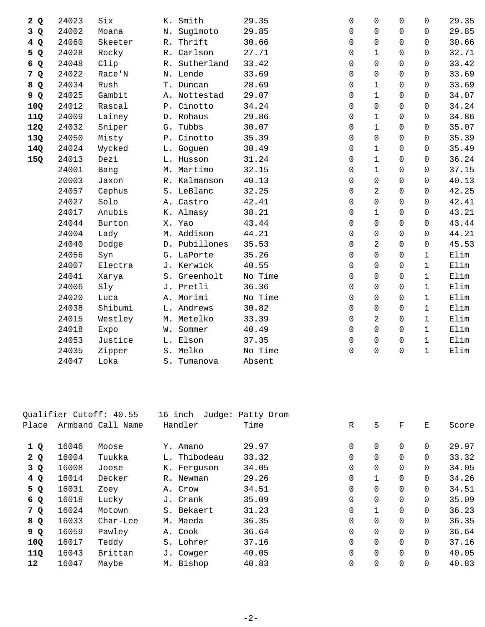| 2Q  | 24023 | Six     | Smith<br>К.      | 29.35   | $\mathbf 0$ | $\Omega$       | $\Omega$       | $\Omega$     | 29.35 |
|-----|-------|---------|------------------|---------|-------------|----------------|----------------|--------------|-------|
| 3 Q | 24002 | Moana   | Sugimoto<br>Ν.   | 29.85   | 0           | $\Omega$       | $\Omega$       | $\Omega$     | 29.85 |
| 4Q  | 24060 | Skeeter | R. Thrift        | 30.66   | $\mathbf 0$ | 0              | $\Omega$       | $\Omega$     | 30.66 |
| 5 Q | 24028 | Rocky   | R. Carlson       | 27.71   | 0           | $\mathbf 1$    | $\Omega$       | $\Omega$     | 32.71 |
| 6 Q | 24048 | Clip    | Sutherland<br>R. | 33.42   | $\Omega$    | 0              | $\Omega$       | $\Omega$     | 33.42 |
| 7 Q | 24022 | Race'N  | N. Lende         | 33.69   | $\mathbf 0$ | 0              | $\Omega$       | $\Omega$     | 33.69 |
| 8 Q | 24034 | Rush    | T. Duncan        | 28.69   | $\mathbf 0$ | $\mathbf{1}$   | $\Omega$       | $\Omega$     | 33.69 |
| 9 Q | 24025 | Gambit  | A. Nottestad     | 29.07   | $\mathbf 0$ | $\mathbf 1$    | $\Omega$       | $\Omega$     | 34.07 |
| 10Q | 24012 | Rascal  | P. Cinotto       | 34.24   | $\Omega$    | $\Omega$       | $\Omega$       | $\Omega$     | 34.24 |
| 11Q | 24009 | Lainey  | D. Rohaus        | 29.86   | $\mathbf 0$ | $\mathbf{1}$   | $\Omega$       | $\Omega$     | 34.86 |
| 12Q | 24032 | Sniper  | G. Tubbs         | 30.07   | 0           | 1              | $\mathbf 0$    | $\mathbf 0$  | 35.07 |
| 13Q | 24050 | Misty   | P. Cinotto       | 35.39   | $\Omega$    | 0              | $\Omega$       | $\Omega$     | 35.39 |
| 14Q | 24024 | Wycked  | L. Goguen        | 30.49   | $\Omega$    | $\mathbf{1}$   | $\Omega$       | $\Omega$     | 35.49 |
| 15Q | 24013 | Dezi    | L. Husson        | 31.24   | $\mathbf 0$ | $\mathbf{1}$   | $\overline{0}$ | $\Omega$     | 36.24 |
|     | 24001 | Bang    | M. Martimo       | 32.15   | $\mathbf 0$ | $\mathbf{1}$   | 0              | $\Omega$     | 37.15 |
|     | 20003 | Jaxon   | R. Kalmanson     | 40.13   | $\Omega$    | $\Omega$       | $\Omega$       | $\Omega$     | 40.13 |
|     | 24057 | Cephus  | S. LeBlanc       | 32.25   | $\mathbf 0$ | 2              | $\Omega$       | $\Omega$     | 42.25 |
|     | 24027 | Solo    | A. Castro        | 42.41   | $\mathbf 0$ | 0              | $\Omega$       | $\Omega$     | 42.41 |
|     | 24017 | Anubis  | K. Almasy        | 38.21   | $\mathbf 0$ | $\mathbf 1$    | $\mathbf 0$    | $\Omega$     | 43.21 |
|     | 24044 | Burton  | X. Yao           | 43.44   | $\Omega$    | 0              | $\Omega$       | $\Omega$     | 43.44 |
|     | 24004 | Lady    | M. Addison       | 44.21   | $\Omega$    | 0              | $\Omega$       | $\Omega$     | 44.21 |
|     | 24040 | Dodge   | D. Pubillones    | 35.53   | $\mathbf 0$ | 2              | 0              | $\mathsf{O}$ | 45.53 |
|     | 24056 | Syn     | G. LaPorte       | 35.26   | $\Omega$    | 0              | $\Omega$       | $\mathbf{1}$ | Elim  |
|     | 24007 | Electra | J. Kerwick       | 40.55   | $\Omega$    | 0              | $\Omega$       | $\mathbf{1}$ | Elim  |
|     | 24041 | Xarya   | S. Greenholt     | No Time | 0           | 0              | $\Omega$       | $\mathbf{1}$ | Elim  |
|     | 24006 | Sly     | J. Pretli        | 36.36   | $\mathbf 0$ | 0              | 0              | $\mathbf{1}$ | Elim  |
|     | 24020 | Luca    | A. Morimi        | No Time | $\Omega$    | 0              | $\Omega$       | $\mathbf{1}$ | Elim  |
|     | 24038 | Shibumi | L. Andrews       | 30.82   | $\Omega$    | 0              | $\Omega$       | $\mathbf{1}$ | Elim  |
|     | 24015 | Westley | M. Metelko       | 33.39   | $\Omega$    | $\overline{2}$ | $\Omega$       | $\mathbf{1}$ | Elim  |
|     | 24018 | Expo    | Sommer<br>W.     | 40.49   | $\mathbf 0$ | 0              | $\Omega$       | $\mathbf{1}$ | Elim  |
|     | 24053 | Justice | L. Elson         | 37.35   | $\Omega$    | $\Omega$       | $\Omega$       | $\mathbf{1}$ | Elim  |
|     | 24035 | Zipper  | S. Melko         | No Time | $\mathbf 0$ | 0              | $\Omega$       | $\mathbf{1}$ | Elim  |
|     | 24047 | Loka    | S. Tumanova      | Absent  |             |                |                |              |       |
|     |       |         |                  |         |             |                |                |              |       |

|       |       | Qualifier Cutoff: 40.55 | 16 inch      | Judge: Patty Drom |   |             |                |          |       |
|-------|-------|-------------------------|--------------|-------------------|---|-------------|----------------|----------|-------|
| Place |       | Armband Call Name       | Handler      | Time              | R | S           | F              | Ε        | Score |
| 1 Q   | 16046 | Moose                   | Y. Amano     | 29.97             | 0 | 0           | $\mathbf 0$    | 0        | 29.97 |
| 2Q    | 16004 | Tuukka                  | L. Thibodeau | 33.32             | 0 | 0           | $\Omega$       | $\Omega$ | 33.32 |
| 3Q    | 16008 | Joose                   | K. Ferquson  | 34.05             | 0 | 0           | $\mathbf 0$    | 0        | 34.05 |
| 4Q    | 16014 | Decker                  | R. Newman    | 29.26             | 0 | $\mathbf 1$ | $\overline{0}$ | 0        | 34.26 |
| 5 Q   | 16031 | Zoey                    | A. Crow      | 34.51             | 0 | 0           | $\mathbf 0$    | 0        | 34.51 |
| 6 Q   | 16018 | Lucky                   | J. Crank     | 35.09             | 0 | 0           | $\mathbf 0$    | 0        | 35.09 |
| 7 Q   | 16024 | Motown                  | S. Bekaert   | 31.23             | 0 | $\mathbf 1$ | $\mathbf 0$    | 0        | 36.23 |
| 8 Q   | 16033 | Char-Lee                | M. Maeda     | 36.35             | 0 | 0           | $\mathbf 0$    | 0        | 36.35 |
| 9 Q   | 16059 | Pawley                  | A. Cook      | 36.64             | 0 | 0           | $\mathbf 0$    | 0        | 36.64 |
| 10Q   | 16017 | Teddy                   | S. Lohrer    | 37.16             | 0 | 0           | $\Omega$       | 0        | 37.16 |
| 11Q   | 16043 | Brittan                 | J. Cowger    | 40.05             | 0 | 0           | $\mathbf 0$    | 0        | 40.05 |
| 12    | 16047 | Maybe                   | M. Bishop    | 40.83             | 0 | 0           | $\overline{0}$ | 0        | 40.83 |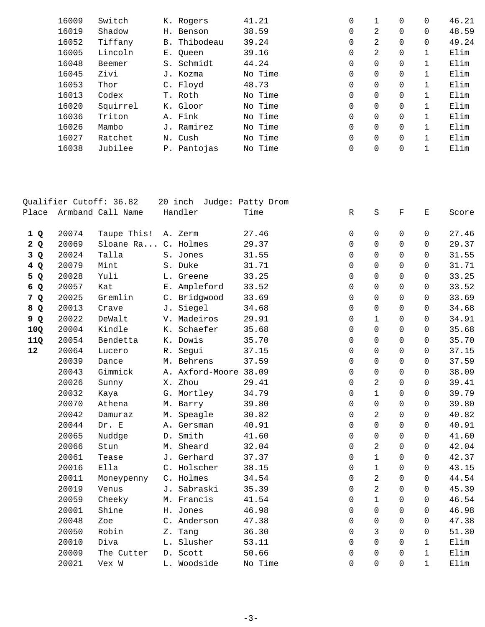| 16009 | Switch   | K. Rogers    | 41.21 |         | 0 |          | $\Omega$ | 0 | 46.21 |
|-------|----------|--------------|-------|---------|---|----------|----------|---|-------|
| 16019 | Shadow   | H. Benson    |       | 38.59   | 0 | 2        | $\Omega$ | 0 | 48.59 |
| 16052 | Tiffany  | B. Thibodeau |       | 39.24   | 0 | 2        | $\Omega$ | 0 | 49.24 |
| 16005 | Lincoln  | E. Oueen     |       | 39.16   | 0 | 2        | $\Omega$ |   | Elim  |
| 16048 | Beemer   | S. Schmidt   |       | 44.24   | 0 | $\Omega$ | $\Omega$ |   | Elim  |
| 16045 | Zivi     | J. Kozma     |       | No Time | 0 | $\Omega$ | $\Omega$ |   | Elim  |
| 16053 | Thor     | C. Floyd     |       | 48.73   | 0 | 0        | $\Omega$ |   | Elim  |
| 16013 | Codex    | T. Roth      |       | No Time | 0 | 0        | $\Omega$ |   | Elim  |
| 16020 | Squirrel | K. Gloor     |       | No Time | 0 | $\Omega$ | $\Omega$ |   | Elim  |
| 16036 | Triton   | A. Fink      |       | No Time | 0 | $\Omega$ | $\Omega$ |   | Elim  |
| 16026 | Mambo    | J. Ramirez   |       | No Time | 0 | $\Omega$ | $\Omega$ |   | Elim  |
| 16027 | Ratchet  | N. Cush      |       | No Time | 0 | $\Omega$ | $\Omega$ |   | Elim  |
| 16038 | Jubilee  | P. Pantojas  |       | No Time | 0 | 0        | $\Omega$ |   | Elim  |
|       |          |              |       |         |   |          |          |   |       |

|                |       | Qualifier Cutoff: 36.82 |    | 20 inch               | Judge: Patty Drom |             |                |              |              |       |
|----------------|-------|-------------------------|----|-----------------------|-------------------|-------------|----------------|--------------|--------------|-------|
| Place          |       | Armband Call Name       |    | Handler               | Time              | $\mathbb R$ | $\rm S$        | $\mathbf F$  | Е            | Score |
| 1Q             | 20074 | Taupe This!             |    | A. Zerm               | 27.46             | 0           | $\Omega$       | $\Omega$     | 0            | 27.46 |
| 2Q             | 20069 | Sloane Ra C. Holmes     |    |                       | 29.37             | $\Omega$    | $\Omega$       | $\Omega$     | $\Omega$     | 29.37 |
| 3Q             | 20024 | Talla                   |    | S. Jones              | 31.55             | $\mathbf 0$ | $\Omega$       | $\Omega$     | 0            | 31.55 |
| 4 Q            | 20079 | Mint                    |    | S. Duke               | 31.71             | $\Omega$    | $\Omega$       | $\Omega$     | $\Omega$     | 31.71 |
| 5 Q            | 20028 | Yuli                    |    | L. Greene             | 33.25             | $\mathbf 0$ | $\Omega$       | $\Omega$     | $\Omega$     | 33.25 |
| 6 Q            | 20057 | Kat                     |    | E. Ampleford          | 33.52             | $\mathbf 0$ | 0              | 0            | $\Omega$     | 33.52 |
| 7 <sup>Q</sup> | 20025 | Gremlin                 |    | C. Bridgwood          | 33.69             | $\mathbf 0$ | 0              | $\Omega$     | $\Omega$     | 33.69 |
| 8 Q            | 20013 | Crave                   |    | J. Siegel             | 34.68             | $\mathbf 0$ | 0              | 0            | $\Omega$     | 34.68 |
| 9 Q            | 20022 | DeWalt                  |    | V. Madeiros           | 29.91             | $\mathbf 0$ | $\mathbf 1$    | $\Omega$     | $\Omega$     | 34.91 |
| 10Q            | 20004 | Kindle                  | К. | Schaefer              | 35.68             | $\Omega$    | $\Omega$       | $\Omega$     | 0            | 35.68 |
| 11Q            | 20054 | Bendetta                |    | K. Dowis              | 35.70             | $\Omega$    | $\Omega$       | $\Omega$     | $\Omega$     | 35.70 |
| 12             | 20064 | Lucero                  | R. | Segui                 | 37.15             | $\mathbf 0$ | 0              | $\Omega$     | $\Omega$     | 37.15 |
|                | 20039 | Dance                   |    | M. Behrens            | 37.59             | $\mathbf 0$ | $\Omega$       | $\Omega$     | $\Omega$     | 37.59 |
|                | 20043 | Gimmick                 |    | A. Axford-Moore 38.09 |                   | $\mathbf 0$ | 0              | 0            | $\mathbf 0$  | 38.09 |
|                | 20026 | Sunny                   |    | X. Zhou               | 29.41             | $\mathbf 0$ | $\overline{a}$ | $\mathsf{O}$ | $\mathbf 0$  | 39.41 |
|                | 20032 | Kaya                    |    | G. Mortley            | 34.79             | $\Omega$    | $\mathbf{1}$   | $\Omega$     | $\Omega$     | 39.79 |
|                | 20070 | Athena                  |    | M. Barry              | 39.80             | $\mathbf 0$ | 0              | $\Omega$     | 0            | 39.80 |
|                | 20042 | Damuraz                 |    | M. Speagle            | 30.82             | $\mathbf 0$ | 2              | $\Omega$     | 0            | 40.82 |
|                | 20044 | Dr. E                   |    | A. Gersman            | 40.91             | $\Omega$    | $\Omega$       | $\Omega$     | $\Omega$     | 40.91 |
|                | 20065 | Nuddge                  |    | D. Smith              | 41.60             | $\mathbf 0$ | 0              | $\Omega$     | $\Omega$     | 41.60 |
|                | 20066 | Stun                    |    | M. Sheard             | 32.04             | 0           | $\overline{c}$ | $\mathbf 0$  | 0            | 42.04 |
|                | 20061 | Tease                   |    | J. Gerhard            | 37.37             | 0           | $\mathbf{1}$   | $\Omega$     | $\Omega$     | 42.37 |
|                | 20016 | Ella                    |    | C. Holscher           | 38.15             | $\mathbf 0$ | $\mathbf 1$    | $\Omega$     | 0            | 43.15 |
|                | 20011 | Moneypenny              |    | C. Holmes             | 34.54             | $\Omega$    | 2              | $\Omega$     | $\Omega$     | 44.54 |
|                | 20019 | Venus                   | J. | Sabraski              | 35.39             | $\Omega$    | 2              | $\Omega$     | 0            | 45.39 |
|                | 20059 | Cheeky                  |    | M. Francis            | 41.54             | $\mathbf 0$ | $\mathbf{1}$   | $\Omega$     | $\Omega$     | 46.54 |
|                | 20001 | Shine                   |    | H. Jones              | 46.98             | $\Omega$    | $\Omega$       | $\Omega$     | $\Omega$     | 46.98 |
|                | 20048 | Zoe                     |    | C. Anderson           | 47.38             | $\mathbf 0$ | 0              | 0            | $\mathbf 0$  | 47.38 |
|                | 20050 | Robin                   |    | Z. Tang               | 36.30             | $\mathbf 0$ | 3              | $\mathbf 0$  | $\mathbf 0$  | 51.30 |
|                | 20010 | Diva                    |    | L. Slusher            | 53.11             | $\Omega$    | $\Omega$       | $\Omega$     | $\mathbf{1}$ | Elim  |
|                | 20009 | The Cutter              |    | D. Scott              | 50.66             | $\mathbf 0$ | $\Omega$       | $\Omega$     | $\mathbf{1}$ | Elim  |
|                | 20021 | Vex W                   |    | L. Woodside           | No Time           | $\mathbf 0$ | 0              | $\Omega$     | $\mathbf{1}$ | Elim  |
|                |       |                         |    |                       |                   |             |                |              |              |       |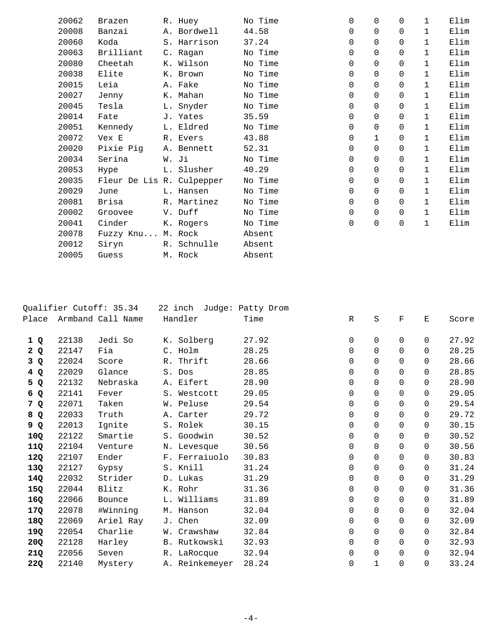| 20062 | Brazen                    | R. Huey     | No Time | $\Omega$ | $\Omega$ | 0        | $\mathbf{1}$ | Elim |
|-------|---------------------------|-------------|---------|----------|----------|----------|--------------|------|
| 20008 | Banzai                    | A. Bordwell | 44.58   | $\Omega$ | $\Omega$ | $\Omega$ | $\mathbf{1}$ | Elim |
| 20060 | Koda                      | S. Harrison | 37.24   | $\Omega$ | 0        | $\Omega$ | $\mathbf{1}$ | Elim |
| 20063 | Brilliant                 | C. Ragan    | No Time | $\Omega$ | $\Omega$ | $\Omega$ | $\mathbf{1}$ | Elim |
| 20080 | Cheetah                   | K. Wilson   | No Time | 0        | $\Omega$ | $\Omega$ | $\mathbf{1}$ | Elim |
| 20038 | Elite                     | K. Brown    | No Time | $\Omega$ | $\Omega$ | $\Omega$ | $\mathbf{1}$ | Elim |
| 20015 | Leia                      | A. Fake     | No Time | 0        | $\Omega$ | $\Omega$ | $\mathbf{1}$ | Elim |
| 20027 | Jenny                     | K. Mahan    | No Time | 0        | $\Omega$ | $\Omega$ | $\mathbf{1}$ | Elim |
| 20045 | Tesla                     | L. Snyder   | No Time | 0        | $\Omega$ | 0        | $\mathbf{1}$ | Elim |
| 20014 | Fate                      | J. Yates    | 35.59   | $\Omega$ | $\Omega$ | $\Omega$ | $\mathbf{1}$ | Elim |
| 20051 | Kennedy                   | L. Eldred   | No Time | $\Omega$ | $\Omega$ | $\Omega$ | $\mathbf{1}$ | Elim |
| 20072 | Vex E                     | R. Evers    | 43.88   | 0        |          | 0        | $\mathbf{1}$ | Elim |
| 20020 | Pixie Pig                 | A. Bennett  | 52.31   | 0        | $\Omega$ | $\Omega$ | $\mathbf{1}$ | Elim |
| 20034 | Serina                    | W. Ji       | No Time | $\Omega$ | $\Omega$ | $\Omega$ | $\mathbf{1}$ | Elim |
| 20053 | Hype                      | L. Slusher  | 40.29   | $\Omega$ | $\Omega$ | $\Omega$ | $\mathbf{1}$ | Elim |
| 20035 | Fleur De Lis R. Culpepper |             | No Time | $\Omega$ | $\Omega$ | $\Omega$ | $\mathbf{1}$ | Elim |
| 20029 | June                      | L. Hansen   | No Time | 0        | $\Omega$ | 0        | $\mathbf{1}$ | Elim |
| 20081 | Brisa                     | R. Martinez | No Time | $\Omega$ | $\Omega$ | $\Omega$ | $\mathbf 1$  | Elim |
| 20002 | Groovee                   | V. Duff     | No Time | $\Omega$ | $\Omega$ | $\Omega$ | $\mathbf{1}$ | Elim |
| 20041 | Cinder                    | K. Rogers   | No Time | 0        | 0        | 0        | $\mathbf{1}$ | Elim |
| 20078 | Fuzzy Knu M. Rock         |             | Absent  |          |          |          |              |      |
| 20012 | Siryn                     | R. Schnulle | Absent  |          |          |          |              |      |
| 20005 | Guess                     | M. Rock     | Absent  |          |          |          |              |      |

|       |       | Qualifier Cutoff: 35.34 |             | 22 inch        | Judge: Patty Drom |   |             |             |             |       |
|-------|-------|-------------------------|-------------|----------------|-------------------|---|-------------|-------------|-------------|-------|
| Place |       | Armband Call Name       |             | Handler        | Time              | R | S           | $\mathbf F$ | Е           | Score |
|       |       |                         |             |                |                   |   |             |             |             |       |
| 1Q    | 22138 | Jedi So                 |             | K. Solberg     | 27.92             | 0 | 0           | 0           | $\Omega$    | 27.92 |
| 2Q    | 22147 | Fia                     |             | C. Holm        | 28.25             | 0 | $\Omega$    | $\Omega$    | $\Omega$    | 28.25 |
| 3Q    | 22024 | Score                   | $R_{\odot}$ | Thrift         | 28.66             | 0 | $\Omega$    | $\Omega$    | $\Omega$    | 28.66 |
| 4 Q   | 22029 | Glance                  |             | S. Dos         | 28.85             | 0 | 0           | 0           | $\Omega$    | 28.85 |
| 5 Q   | 22132 | Nebraska                |             | A. Eifert      | 28.90             | 0 | 0           | 0           | $\Omega$    | 28.90 |
| 6 Q   | 22141 | Fever                   |             | S. Westcott    | 29.05             | 0 | 0           | 0           | $\Omega$    | 29.05 |
| 7 Q   | 22071 | Taken                   |             | W. Peluse      | 29.54             | 0 | 0           | 0           | $\Omega$    | 29.54 |
| 8 Q   | 22033 | Truth                   |             | A. Carter      | 29.72             | 0 | 0           | $\Omega$    | $\Omega$    | 29.72 |
| 9 Q   | 22013 | Ignite                  |             | S. Rolek       | 30.15             | 0 | 0           | $\Omega$    | $\Omega$    | 30.15 |
| 10Q   | 22122 | Smartie                 |             | S. Goodwin     | 30.52             | 0 | 0           | $\Omega$    | $\Omega$    | 30.52 |
| 11Q   | 22104 | Venture                 |             | N. Levesque    | 30.56             | 0 | 0           | $\Omega$    | $\Omega$    | 30.56 |
| 12Q   | 22107 | Ender                   |             | F. Ferraiuolo  | 30.83             | 0 | 0           | $\Omega$    | $\Omega$    | 30.83 |
| 13Q   | 22127 | Gypsy                   |             | S. Knill       | 31.24             | 0 | 0           | $\Omega$    | $\Omega$    | 31.24 |
| 14Q   | 22032 | Strider                 |             | D. Lukas       | 31.29             | 0 | 0           | 0           | $\mathbf 0$ | 31.29 |
| 15Q   | 22044 | Blitz                   |             | K. Rohr        | 31.36             | 0 | $\mathbf 0$ | 0           | $\mathbf 0$ | 31.36 |
| 16Q   | 22066 | Bounce                  | L.          | Williams       | 31.89             | 0 | 0           | 0           | $\Omega$    | 31.89 |
| 17Q   | 22078 | #Winning                | М.          | Hanson         | 32.04             | 0 | 0           | 0           | $\Omega$    | 32.04 |
| 18Q   | 22069 | Ariel Ray               |             | J. Chen        | 32.09             | 0 | 0           | 0           | $\Omega$    | 32.09 |
| 19Q   | 22054 | Charlie                 | W.          | Crawshaw       | 32.84             | 0 | 0           | 0           | $\Omega$    | 32.84 |
| 20Q   | 22128 | Harley                  |             | B. Rutkowski   | 32.93             | 0 | 0           | 0           | $\Omega$    | 32.93 |
| 21Q   | 22056 | Seven                   | $R_{\odot}$ | LaRocque       | 32.94             | 0 | 0           | 0           | $\mathbf 0$ | 32.94 |
| 22Q   | 22140 | Mystery                 |             | A. Reinkemeyer | 28.24             | 0 | $\mathbf 1$ | 0           | $\mathbf 0$ | 33.24 |
|       |       |                         |             |                |                   |   |             |             |             |       |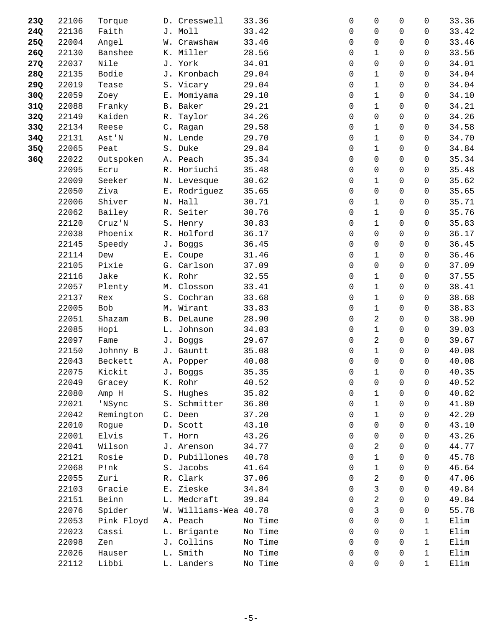| 23Q | 22106 | Torque     |       | D. Cresswell          | 33.36   | 0        | 0              | 0            | 0            | 33.36 |
|-----|-------|------------|-------|-----------------------|---------|----------|----------------|--------------|--------------|-------|
| 24Q | 22136 | Faith      |       | J. Moll               | 33.42   | 0        | $\Omega$       | 0            | 0            | 33.42 |
| 25Q | 22004 | Angel      |       | W. Crawshaw           | 33.46   | 0        | $\Omega$       | $\Omega$     | $\Omega$     | 33.46 |
| 26Q | 22130 | Banshee    |       | K. Miller             | 28.56   | 0        | $\mathbf 1$    | $\mathbf 0$  | 0            | 33.56 |
| 27Q | 22037 | Nile       |       | J. York               | 34.01   | 0        | $\mathbf 0$    | 0            | 0            | 34.01 |
| 28Q | 22135 | Bodie      |       | J. Kronbach           | 29.04   | 0        | $\mathbf{1}$   | 0            | $\Omega$     | 34.04 |
| 29Q | 22019 | Tease      |       | S. Vicary             | 29.04   | 0        | $\mathbf{1}$   | 0            | 0            | 34.04 |
| 30Q | 22059 | Zoey       |       | E. Momiyama           | 29.10   | 0        | $\mathbf{1}$   | $\mathbf 0$  | 0            | 34.10 |
| 31Q | 22088 | Franky     |       | B. Baker              | 29.21   | 0        | $\mathbf{1}$   | 0            | 0            | 34.21 |
| 32Q | 22149 | Kaiden     |       | R. Taylor             | 34.26   | 0        | $\mathbf 0$    | 0            | $\Omega$     | 34.26 |
| 33Q | 22134 | Reese      |       | C. Ragan              | 29.58   | 0        | $\mathbf{1}$   | 0            | $\Omega$     | 34.58 |
| 34Q | 22131 | Ast'N      |       | N. Lende              | 29.70   | 0        | $\mathbf 1$    | $\mathbf 0$  | 0            | 34.70 |
| 35Q | 22065 | Peat       |       | S. Duke               | 29.84   | 0        | $\mathbf{1}$   | 0            | 0            | 34.84 |
| 36Q | 22022 | Outspoken  |       | A. Peach              | 35.34   | 0        | $\mathbf 0$    | 0            | 0            | 35.34 |
|     | 22095 | Ecru       |       | R. Horiuchi           | 35.48   | 0        | $\mathbf 0$    | 0            | 0            | 35.48 |
|     | 22009 | Seeker     |       | N. Levesque           | 30.62   | 0        | $\mathbf{1}$   | $\mathbf 0$  | 0            | 35.62 |
|     | 22050 | Ziva       |       | E. Rodriguez          | 35.65   | 0        | 0              | 0            | 0            | 35.65 |
|     | 22006 | Shiver     |       | N. Hall               | 30.71   | 0        | $\mathbf{1}$   | $\Omega$     | 0            | 35.71 |
|     | 22062 | Bailey     |       | R. Seiter             | 30.76   | 0        | $\mathbf{1}$   | $\Omega$     | 0            | 35.76 |
|     | 22120 | Cruz'N     |       | S. Henry              | 30.83   | 0        | $\mathbf{1}$   | $\Omega$     | 0            | 35.83 |
|     | 22038 | Phoenix    |       | R. Holford            | 36.17   | 0        | $\mathbf 0$    | 0            | 0            | 36.17 |
|     | 22145 | Speedy     |       | J. Boggs              | 36.45   | 0        | $\mathbf 0$    | 0            | 0            | 36.45 |
|     | 22114 | Dew        |       | E. Coupe              | 31.46   | 0        | $\mathbf{1}$   | 0            | $\Omega$     | 36.46 |
|     | 22105 | Pixie      |       | G. Carlson            | 37.09   | 0        | $\mathbf 0$    | $\Omega$     | 0            | 37.09 |
|     | 22116 | Jake       |       | K. Rohr               | 32.55   | 0        | $\mathbf{1}$   | 0            | 0            | 37.55 |
|     | 22057 | Plenty     |       | M. Closson            | 33.41   | 0        | $\mathbf 1$    | 0            | 0            | 38.41 |
|     | 22137 | Rex        |       | S. Cochran            | 33.68   | 0        | $\mathbf{1}$   | $\Omega$     | $\Omega$     | 38.68 |
|     | 22005 | Bob        |       | M. Wirant             | 33.83   | 0        | $\mathbf{1}$   | 0            | $\Omega$     | 38.83 |
|     | 22051 | Shazam     |       | B. DeLaune            | 28.90   | 0        | 2              | $\mathbf 0$  | 0            | 38.90 |
|     | 22085 | Hopi       |       | L. Johnson            | 34.03   | 0        | $\mathbf{1}$   | 0            | 0            | 39.03 |
|     | 22097 | Fame       |       | J. Boggs              | 29.67   | 0        | 2              | 0            | $\Omega$     | 39.67 |
|     | 22150 | Johnny B   |       | J. Gauntt             | 35.08   | 0        | $\mathbf{1}$   | $\Omega$     | 0            | 40.08 |
|     | 22043 | Beckett    |       | A. Popper             | 40.08   | 0        | $\mathbf 0$    | $\mathbf 0$  | 0            | 40.08 |
|     | 22075 | Kickit     |       | J. Boggs              | 35.35   | 0        | $\mathbf{1}$   | $\mathsf{O}$ | 0            | 40.35 |
|     | 22049 | Gracey     |       | K. Rohr               | 40.52   | 0        | 0              | 0            | 0            | 40.52 |
|     | 22080 | Amp H      |       | S. Hughes             | 35.82   | 0        | $\mathbf{1}$   | $\Omega$     | 0            | 40.82 |
|     | 22021 | 'NSync     |       | S. Schmitter          | 36.80   | 0        | $\mathbf 1$    | $\Omega$     | $\Omega$     | 41.80 |
|     | 22042 | Remington  |       | C. Deen               | 37.20   | 0        | $\mathbf 1$    | 0            | 0            | 42.20 |
|     | 22010 | Rogue      |       | D. Scott              | 43.10   | 0        | $\Omega$       | 0            | 0            | 43.10 |
|     | 22001 | Elvis      |       | T. Horn               | 43.26   | $\Omega$ | $\Omega$       | $\Omega$     | 0            | 43.26 |
|     | 22041 | Wilson     |       | J. Arenson            | 34.77   | 0        | 2              | $\Omega$     | $\Omega$     | 44.77 |
|     | 22121 | Rosie      |       | D. Pubillones         | 40.78   | 0        | $\mathbf 1$    | $\mathbf 0$  | 0            | 45.78 |
|     | 22068 | P!nk       |       | S. Jacobs             | 41.64   | 0        | $\mathbf{1}$   | $\Omega$     | 0            | 46.64 |
|     | 22055 | Zuri       |       | R. Clark              | 37.06   | 0        | 2              | 0            | 0            | 47.06 |
|     | 22103 | Gracie     | $E$ . | Zieske                | 34.84   | 0        | 3              | 0            | 0            | 49.84 |
|     | 22151 | Beinn      |       | L. Medcraft           | 39.84   | 0        | $\overline{a}$ | 0            | 0            | 49.84 |
|     | 22076 | Spider     |       | W. Williams-Wea 40.78 |         | 0        | 3              | 0            | 0            | 55.78 |
|     | 22053 | Pink Floyd |       | A. Peach              | No Time | $\Omega$ | $\Omega$       | 0            | 1            | Elim  |
|     | 22023 | Cassi      |       | L. Brigante           | No Time | 0        | $\Omega$       | $\Omega$     | 1            | Elim  |
|     | 22098 | Zen        |       | J. Collins            | No Time | 0        | 0              | $\mathbf 0$  | $\mathbf{1}$ | Elim  |
|     | 22026 | Hauser     |       | L. Smith              | No Time | 0        | 0              | 0            | $\mathbf{1}$ | Elim  |
|     | 22112 | Libbi      |       | L. Landers            | No Time | 0        | $\mathbf 0$    | 0            | $\mathbf{1}$ | Elim  |
|     |       |            |       |                       |         |          |                |              |              |       |